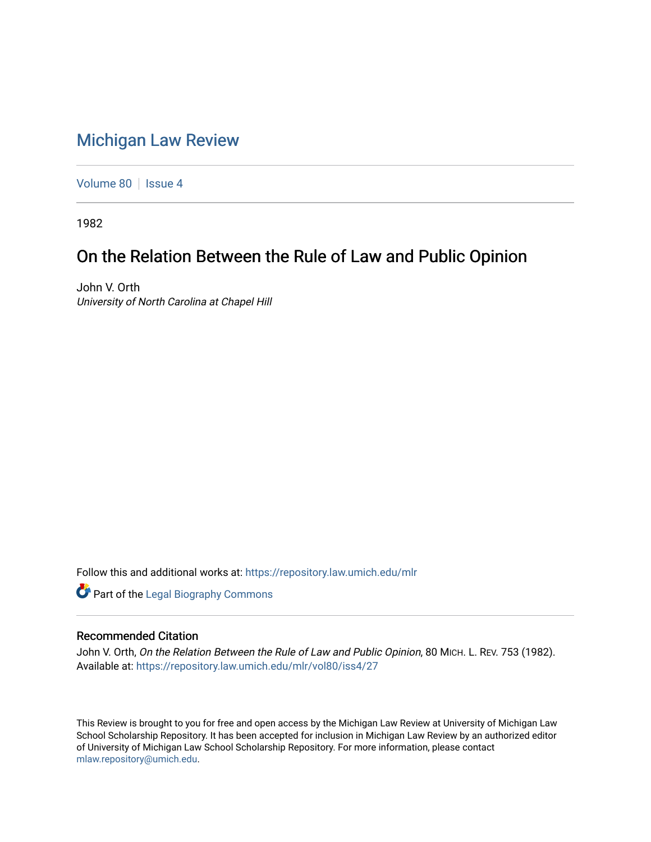## [Michigan Law Review](https://repository.law.umich.edu/mlr)

[Volume 80](https://repository.law.umich.edu/mlr/vol80) | [Issue 4](https://repository.law.umich.edu/mlr/vol80/iss4)

1982

# On the Relation Between the Rule of Law and Public Opinion

John V. Orth University of North Carolina at Chapel Hill

Follow this and additional works at: [https://repository.law.umich.edu/mlr](https://repository.law.umich.edu/mlr?utm_source=repository.law.umich.edu%2Fmlr%2Fvol80%2Fiss4%2F27&utm_medium=PDF&utm_campaign=PDFCoverPages) 

**Part of the Legal Biography Commons** 

### Recommended Citation

John V. Orth, On the Relation Between the Rule of Law and Public Opinion, 80 MICH. L. REV. 753 (1982). Available at: [https://repository.law.umich.edu/mlr/vol80/iss4/27](https://repository.law.umich.edu/mlr/vol80/iss4/27?utm_source=repository.law.umich.edu%2Fmlr%2Fvol80%2Fiss4%2F27&utm_medium=PDF&utm_campaign=PDFCoverPages) 

This Review is brought to you for free and open access by the Michigan Law Review at University of Michigan Law School Scholarship Repository. It has been accepted for inclusion in Michigan Law Review by an authorized editor of University of Michigan Law School Scholarship Repository. For more information, please contact [mlaw.repository@umich.edu.](mailto:mlaw.repository@umich.edu)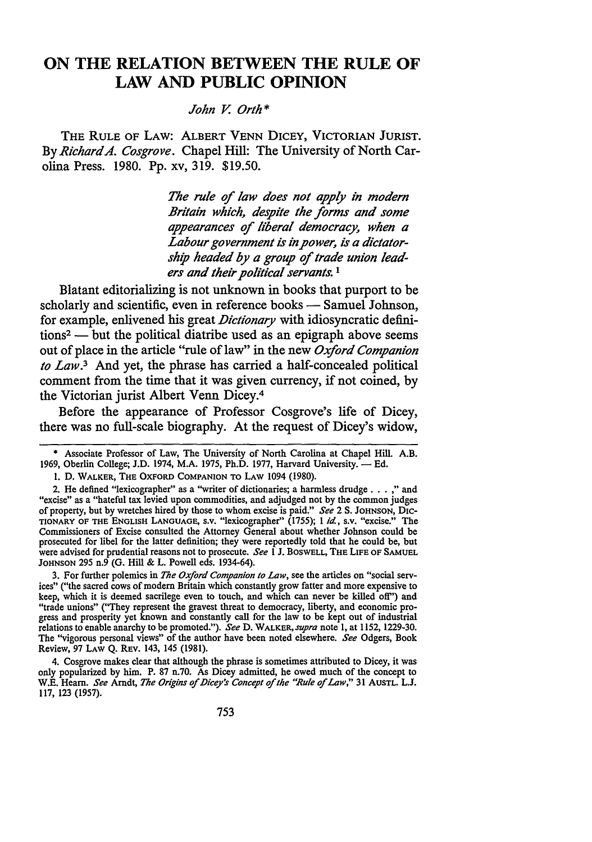### **ON THE RELATION BETWEEN THE RULE OF LAW AND PUBLIC OPINION**

#### *John* V. *Orth\**

THE RULE OF LAW: ALBERT VENN DICEY, VICTORIAN JURIST. By *Richard A. Cosgrove.* Chapel Hill: The University of North Carolina Press. 1980. Pp. xv, 319. \$19.50.

> *The rule* of *law does not apply in modern Britain which, despite the forms and some appearances* of *liberal democracy, when a Labour government is in power, is a dictatorship headed by a group* of *trade union leaders and their political servants.* <sup>1</sup>

Blatant editorializing is not unknown in books that purport to be scholarly and scientific, even in reference books — Samuel Johnson, for example, enlivened his great *Dictionary* with idiosyncratic defini $tions<sup>2</sup>$  — but the political diatribe used as an epigraph above seems out of place in the article "rule oflaw" in the new *Oxford Companion to Law.*3 And yet, the phrase has carried a half-concealed political comment from the time that it was given currency, if not coined, by the Victorian jurist Albert Venn Dicey.<sup>4</sup>

Before the appearance of Professor Cosgrove's life of Dicey, there was no full-scale biography. At the request of Dicey's widow,

3. For further polemics in *The Oxford Companion to Law,* see the articles on "social services" ("the sacred cows of modern Britain which constantly grow fatter and more expensive to keep, which it is deemed sacrilege even to touch, and which can never be killed oft") and "trade unions" ("They represent the gravest threat to democracy, liberty, and economic progress and prosperity yet known and constantly call for the law to be kept out of industrial relations to enable anarchy to be promoted."). *See* D. WALKER, *supra* note 1, at 1152, 1229-30. The ''vigorous personal views" of the author have been noted elsewhere. *See* Odgers, Book Review, 97 LAW Q. REV. 143, 145 (1981).

4. Cosgrove makes clear that although the phrase is sometimes attributed to Dicey, it was only popularized by him. P. 87 n.70. As Dicey admitted, he owed much of the concept to W.E. Hearn. *See* Arndt, *The Origins* of *J)icey"s Concept* of *the "Rule* of *Law,"* 31 AUSTL. L.J. 117, 123 (1957).

<sup>\*</sup> Associate Professor of Law, The University of North Carolina at Chapel Hill. A.B. 1969, Oberlin College; J.D. 1974, M.A. 1975, Ph.D. 1977, Harvard University. - Ed.

<sup>1.</sup> D. WALKER, THE OXFORD COMPANION TO LAW 1094 (1980).

<sup>2.</sup> He defined "lexicographer" as a "writer of dictionaries; a harmless drudge ... ," and "excise" as a "hateful tax levied upon commodities, and adjudged not by the common judges of property, but by wretches hired by those to whom excise is paid." *See* 2 S. JOHNSON, D1c-TIONARY OF THE ENGLISH LANGUAGE, s.v. "lexicographer" (1755); 1 *id.,* s.v. "excise." The Commissioners of Excise consulted the Attorney General about whether Johnson could be prosecuted for libel for the latter definition; they were reportedly told that he could be, but were advised for prudential reasons not to prosecute. *See* l J. BoswELL, THE LIFE OF SAMUEL JOHNSON 295 n.9 (G. Hill & L. Powell eds. 1934-64).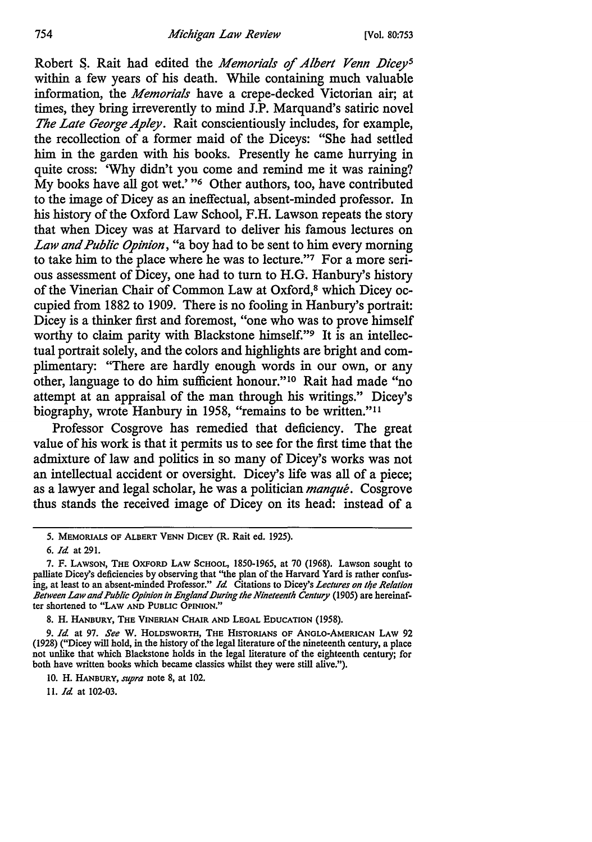Robert S. Rait had edited the *Memorials of Albert Venn Dicey<sup>5</sup>* within a few years of his death. While containing much valuable information, the *Memorials* have a crepe-decked Victorian air; at times, they bring irreverently to mind J.P. Marquand's satiric novel *The Late George Apley.* Rait conscientiously includes, for example, the recollection of a former maid of the Diceys: "She had settled him in the garden with his books. Presently he came hurrying in quite cross: 'Why didn't you come and remind me it was raining? My books have all got wet.' "6 Other authors, too, have contributed to the image of Dicey as an ineffectual, absent-minded professor. In his history of the Oxford Law School, F.H. Lawson repeats the story that when Dicey was at Harvard to deliver his famous lectures on *Law and Public Opinion,* "a boy had to be sent to him every morning to take him to the place where he was to lecture."7 For a more serious assessment of Dicey, one had to tum to H.G. Hanbury's history of the Vinerian Chair of Common Law at Oxford,8 which Dicey occupied from 1882 to 1909. There is no fooling in Hanbury's portrait: Dicey is a thinker first and foremost, "one who was to prove himself worthy to claim parity with Blackstone himself."<sup>9</sup> It is an intellectual portrait solely, and the colors and highlights are bright and complimentary: "There are hardly enough words in our own, or any other, language to do him sufficient honour."<sup>10</sup> Rait had made "no attempt at an appraisal of the man through his writings." Dicey's biography, wrote Hanbury in 1958, "remains to be written."<sup>11</sup>

Professor Cosgrove has remedied that deficiency. The great value of his work is that it permits us to see for the first time that the admixture of law and politics in so many of Dicey's works was not an intellectual accident or oversight. Dicey's life was all of a piece; as a lawyer and legal scholar, he was a politician *manque.* Cosgrove thus stands the received image of Dicey on its head: instead of a

11. *Id.* at 102-03.

*<sup>5.</sup>* MEMORIALS OF ALBERT VENN DICEY (R. Rait ed. 1925).

<sup>6.</sup> *Id.* at 291.

<sup>7.</sup> F. LAWSON, THE OXFORD LAW SCHOOL, 1850-1965, at 70 (1968). Lawson sought to palliate Dicey's deficiencies by observing that "the plan of the Harvard Yard is rather confusing, at least to an absent-minded Professor." *Id.* Citations to Dicey's *Lectures on 11/e Re/a/ion Between Law and Public Opinion in England IJuring the Nineteenth Century* (1905) are hereinafter shortened to "LAW AND PUBLIC OPINION."

<sup>8.</sup> H. HANBURY, THE VINERIAN CHAIR AND LEGAL EDUCATION (1958).

<sup>9.</sup> *Id.* at 97. *See* W. HOLDSWORTH, THE HISTORIANS OF ANGLO-AMERICAN LAW 92 (1928) ("Dicey will hold, in the history of the legal literature of the nineteenth century, a place not unlike that which Blackstone holds in the legal literature of the eighteenth century; for both have written books which became classics whilst they were still alive.").

<sup>10.</sup> H. HANBURY, *supra* note 8, at 102.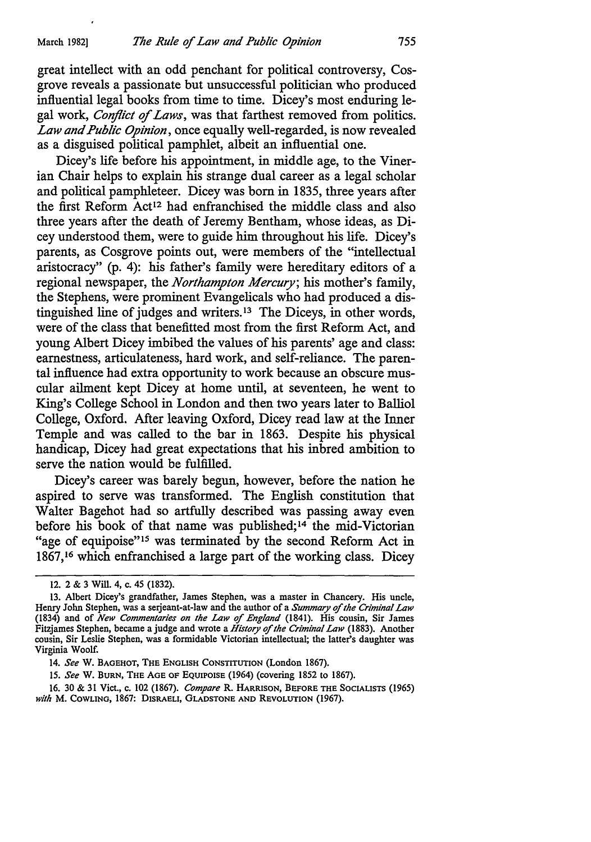great intellect with an odd penchant for political controversy, Cosgrove reveals a passionate but unsuccessful politician who produced influential legal books from time to time. Dicey's most enduring legal work, *Conflict of Laws,* was that farthest removed from politics. *Law and Public Opinion,* once equally well-regarded, is now revealed as a disguised political pamphlet, albeit an influential one.

Dicey's life before his appointment, in middle age, to the Vinerian Chair helps to explain his strange dual career as a legal scholar and political pamphleteer. Dicey was born in 1835, three years after the first Reform Act<sup>12</sup> had enfranchised the middle class and also three years after the death of Jeremy Bentham, whose ideas, as Dicey understood them, were to guide him throughout his life. Dicey's parents, as Cosgrove points out, were members of the "intellectual aristocracy" (p. 4): his father's family were hereditary editors of a regional newspaper, the *Northampton Mercury;* his mother's family, the Stephens, were prominent Evangelicals who had produced a distinguished line of judges and writers. 13 The Diceys, in other words, were of the class that benefitted most from the first Reform Act, and young Albert Dicey imbibed the values of his parents' age and class: earnestness, articulateness, hard work, and self-reliance. The parental influence had extra opportunity to work because an obscure muscular ailment kept Dicey at home until, at seventeen, he went to King's College School in London and then two years later to Balliol College, Oxford. After leaving Oxford, Dicey read law at the Inner Temple and was called to the bar in 1863. Despite his physical handicap, Dicey had great expectations that his inbred ambition to serve the nation would be fulfilled.

Dicey's career was barely begun, however, before the nation he aspired to serve was transformed. The English constitution that Walter Bagehot had so artfully described was passing away even before his book of that name was published; 14 the mid-Victorian "age of equipoise"<sup>15</sup> was terminated by the second Reform Act in 1867,16 which enfranchised a large part of the working class. Dicey

16. 30 & 31 Viet., c. 102 (1867). *Compare* R. HARRISON, BEFORE THE SOCIALISTS (1965) *with* **M.** COWLING, 1867: DISRAELI, GLADSTONE AND REVOLUTION (1967).

<sup>12. 2 &</sup>amp; 3 Will. 4, c. 45 (1832).

<sup>13.</sup> Albert Dicey's grandfather, James Stephen, was a master in Chancery. His uncle, Henry John Stephen, was a serjeant-at-law and the author of a *Summary* of *the Criminal Law*  (1834) and of *New Commentaries on the Law* of *England* (1841). His cousin, Sir James Fitzjames Stephen, became a judge and wrote a *History* of *the Criminal Law* (1883). Another cousin, Sir Leslie Stephen, was a formidable Victorian intellectual; the latter's daughter was Virginia Woolf.

<sup>14.</sup> *See* **w.** BAGEHOT, THE ENGLISH CONSTITUTION (London 1867).

<sup>15.</sup> *See* W. BURN, THE AGE OF EQUIPOISE (1964) (covering 1852 to 1867).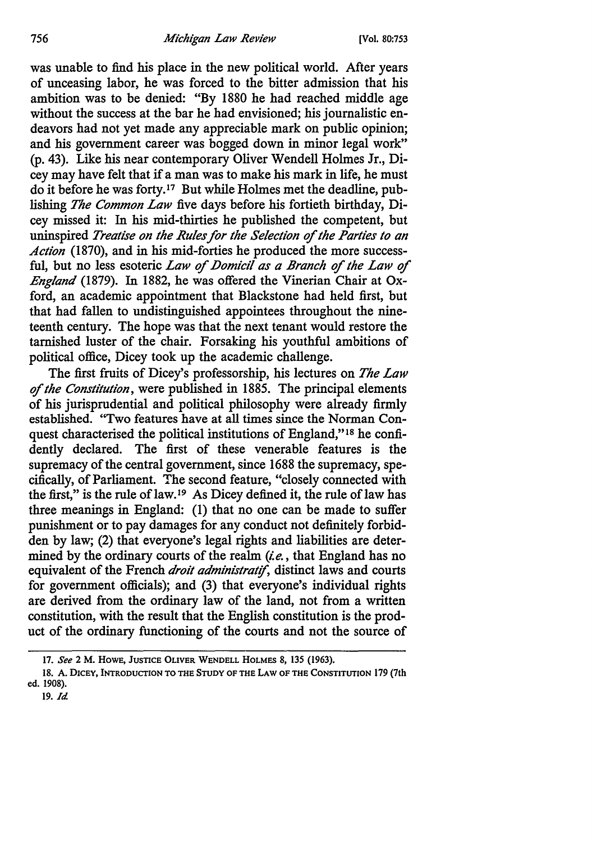was unable to find his place in the new political world. After years of unceasing labor, he was forced to the bitter admission that his ambition was to be denied: "By 1880 he had reached middle age without the success at the bar he had envisioned; his journalistic endeavors had not yet made any appreciable mark on public opinion; and his government career was bogged down in minor legal work" (p. 43). Like his near contemporary Oliver Wendell Holmes Jr., Dicey may have felt that if a man was to make his mark in life, he must do it before he was forty. I7 But while Holmes met the deadline, publishing *The Common Law* five days before his fortieth birthday, Dicey missed it: In his mid-thirties he published the competent, but uninspired *Treatise on the Rules for the Selection* of *the Parties to an Action* (1870), and in his mid-forties he produced the more successful, but no less esoteric *Law of Domicil as a Branch of the Law of England* (1879). In 1882, he was offered the Vinerian Chair at Oxford, an academic appointment that Blackstone had held first, but that had fallen to undistinguished appointees throughout the nineteenth century. The hope was that the next tenant would restore the tarnished luster of the chair. Forsaking his youthful ambitions of political office, Dicey took up the academic challenge.

The first fruits of Dicey's professorship, his lectures on *The Law*  of *the Constitution,* were published in 1885. The principal elements of his jurisprudential and political philosophy were already firmly established. ''Two features have at all times since the Norman Conquest characterised the political institutions of England," 18 he confidently declared. The first of these venerable features is the supremacy of the central government, since 1688 the supremacy, specifically, of Parliament. The second feature, "closely connected with the first," is the rule of law.<sup>19</sup> As Dicey defined it, the rule of law has three meanings in England: (1) that no one can be made to suffer punishment or to pay damages for any conduct not definitely forbidden by law; (2) that everyone's legal rights and liabilities are determined by the ordinary courts of the realm  $(i.e.,$  that England has no equivalent of the French *droit administratif*, distinct laws and courts for government officials); and (3) that everyone's individual rights are derived from the ordinary law of the land, not from a written constitution, with the result that the English constitution is the product of the ordinary functioning of the courts and not the source of

19. *Id* 

<sup>17.</sup> *See* 2 M. HOWE, JUSTICE OLIVER WENDELL HOLMES 8, 135 (1963).

<sup>18.</sup> A. DICEY, INTRODUCTION TO THE STUDY OF THE LAW OF THE CONSTITUTION 179 (7th ed. 1908).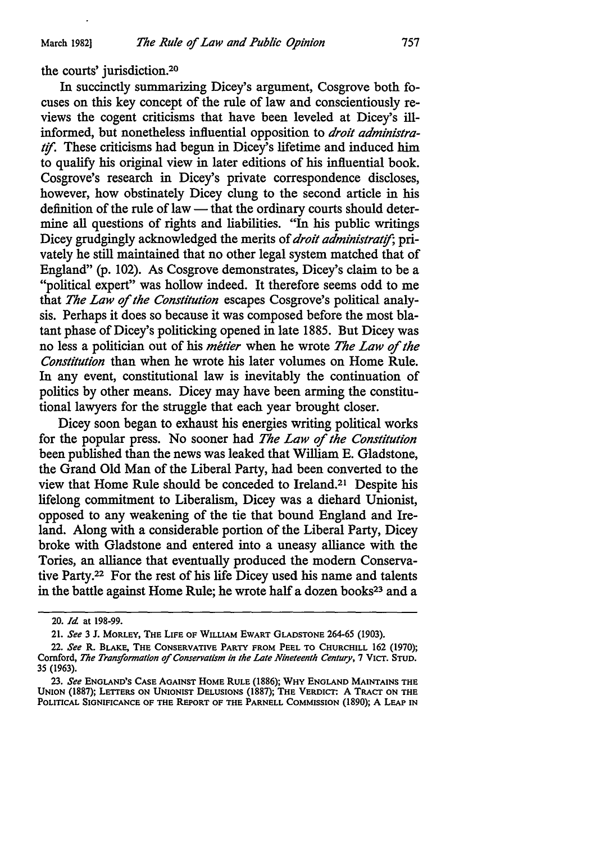the courts' jurisdiction.20

In succinctly summarizing Dicey's argument, Cosgrove both focuses on this key concept of the rule of law and conscientiously reviews the cogent criticisms that have been leveled at Dicey's illinformed, but nonetheless influential opposition to *droit administratif.* These criticisms had begun in Dicey's lifetime and induced him to qualify his original view in later editions of his influential book. Cosgrove's research in Dicey's private correspondence discloses, however, how obstinately Dicey clung to the second article in his definition of the rule of law  $-$  that the ordinary courts should determine all questions of rights and liabilities. "In his public writings Dicey grudgingly acknowledged the merits of *droit administratif*; privately he still maintained that no other legal system matched that of England" (p. 102). As Cosgrove demonstrates, Dicey's claim to be a "political expert" was hollow indeed. It therefore seems odd to me that *The Law* of *the Constitution* escapes Cosgrove's political analysis. Perhaps it does so because it was composed before the most blatant phase of Dicey's politicking opened in late 1885. But Dicey was no less a politician out of his *metier* when he wrote *The Law* of *the Constitution* than when he wrote his later volumes on Home Rule. In any event, constitutional law is inevitably the continuation of politics by other means. Dicey may have been arming the constitutional lawyers for the struggle that each year brought closer.

Dicey soon began to exhaust his energies writing political works for the popular press. No sooner had *The Law* of *the Constitution*  been published than the news was leaked that William E. Gladstone, the Grand Old Man of the Liberal Party, had been converted to the view that Home Rule should be conceded to Ireland.21 Despite his lifelong commitment to Liberalism, Dicey was a diehard Unionist, opposed to any weakening of the tie that bound England and Ireland. Along with a considerable portion of the Liberal Party, Dicey broke with Gladstone and entered into a uneasy alliance with the Tories, an alliance that eventually produced the modem Conservative Party.22 For the rest of his life Dicey used his name and talents in the battle against Home Rule; he wrote half a dozen books<sup>23</sup> and a

<sup>20.</sup> *Id* at 198-99.

<sup>21.</sup> *See* 3 J. MORLEY, THE LIFE OF WILLIAM EWART GLADSTONE 264-65 (1903).

<sup>22.</sup> *See* R. BLAKE, THE CONSERVATIVE PARTY FROM PEEL TO CHURCHILL 162 (1970); Cornford, *Tlte Transformation of Conservatism in the Late Nineteenth Century,* 7 VICT. STUD. 35 (1963).

<sup>23.</sup> *See* ENGLAND'S CASE AGAINST HOME RULE (1886); WHY ENGLAND MAINTAINS THE UNION (1887); LETTERS ON UNIONIST DELUSIONS (1887); THE VERDICT: A TRACT ON THE POLITICAL SIGNIFICANCE OF THE REPORT OF THE PARNELL COMMISSION (1890); A LEAP IN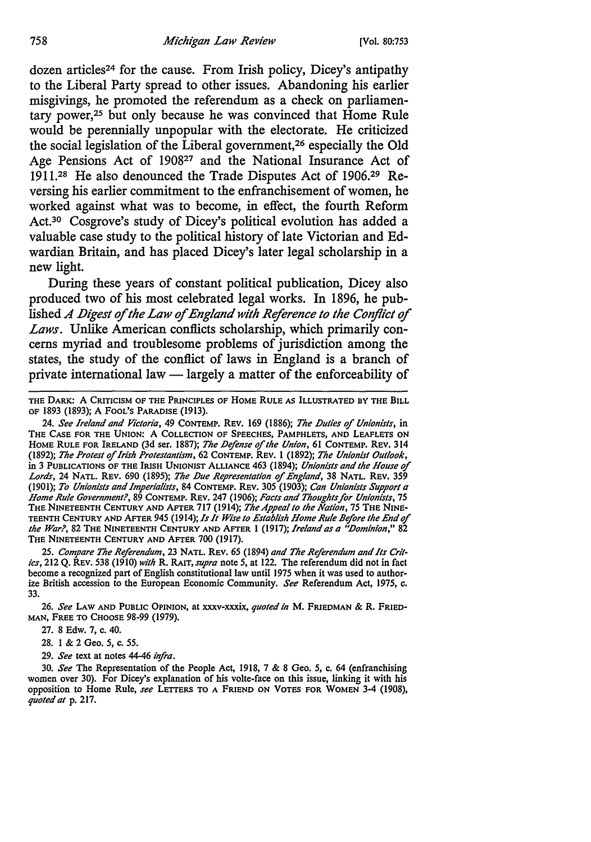dozen articles<sup>24</sup> for the cause. From Irish policy, Dicey's antipathy to the Liberal Party spread to other issues. Abandoning his earlier misgivings, he promoted the referendum as a check on parliamentary power,25 but only because he was convinced that Home Rule would be perennially unpopular with the electorate. He criticized the social legislation of the Liberal government,26 especially the Old Age Pensions Act of 190827 and the National Insurance Act of 1911.28 He also denounced the Trade Disputes Act of 1906.29 Reversing his earlier commitment to the enfranchisement of women, he worked against what was to become, in effect, the fourth Reform Act.<sup>30</sup> Cosgrove's study of Dicey's political evolution has added a valuable case study to the political history of late Victorian and Edwardian Britain, and has placed Dicey's later legal scholarship in a new light.

During these years of constant political publication, Dicey also produced two of his most celebrated legal works. In 1896, he published *A Digest of the Law of England with Reference to the Conflict of Laws.* Unlike American conflicts scholarship, which primarily concerns myriad and troublesome problems of jurisdiction among the states, the study of the conflict of laws in England is a branch of private international law - largely a matter of the enforceability of

THE DARK: A CRITICISM OF THE PRINCIPLES OF HOME RULE AS ILLUSTRATED BY THE BILL OF 1893 (1893); A FOOL'S PARADISE (1913).

24. *See Ireland and Victoria,* 49 CONTEMP. REV. 169 (1886); *The JJuties* of *Unionists,* in THE CASE FOR THE UNION: A COLLECTION OF SPEECHES, PAMPHLETS, AND LEAFLETS ON HOME RULE FOR IRELAND (3d ser. 1887); The Defense of the Union, 61 CONTEMP. REV. 314 (1892); *The Protest* of *Irish Protestantism,* 62 CONTEMP. REV. l (1892); *The Unionist Outlook,*  in 3 PUBLICATIONS OF THE IRISH UNIONIST ALLIANCE 463 (1894); *Unionists and the House* of *Lords,* 24 NATL. REV. 690 (1895); *The JJue Representation* of *England,* 38 NATL. REV. 359 (1901); *To Unionists and Imperialists,* 84 CONTEMP. REV. 305 (1903); *Can Unionists Support a Home Rule Government?,* 89 CONTEMP. REV. 247 (1906); *Facts and Thoughts far Unionists,* 75 THE NINETEENTH CENTURY AND AFTER 717 (1914); *The Appeal lo the Nation,* 75 THE NINE· TEENTH CENTURY AND AFTER 945 (1914); *Is It Wise lo Establish Home Rule Before the End* of *the War?*, 82 THE NINETEENTH CENTURY AND AFTER 1 (1917); *Ireland as a "Dominion*," 82 THE NINETEENTH CENTURY AND AFTER 700 (1917).

25. *Compare The Referendum,* 23 NATL. REV. 65 (1894) *and The Referendum and Its Cril• ics,* 212 Q. REV. 538 (1910) *with* R. RA1T, *supra* note *5,* at 122. The referendum did not in fact become a recognized part of English constitutional law until 1975 when it was used to authorize British accession to the European Economic Community. *See* Referendum Act, 1975, c. 33.

26. *See* LA w AND PUBLIC OPINION, at xxxv-xxxix, *quoted in* M. FRIEDMAN & R. FRIED· MAN, FREE TO CHOOSE 98-99 (1979).

27. 8 Edw. 7, c. 40.

28. 1 & 2 Geo. *5,* c. *55.* 

29. *See* text at notes 44-46 *infra.* 

30. *See* The Representation of the People Act, 1918, 7 & 8 Geo. *5,* c. 64 (enfranchising women over 30). For Dicey's explanation of his volte-face on this issue, linking it with his opposition to Home Rule, *see* LETTERS TO A FRIEND ON VOTES FOR WOMEN 3-4 (1908), *quoted at* p. 217.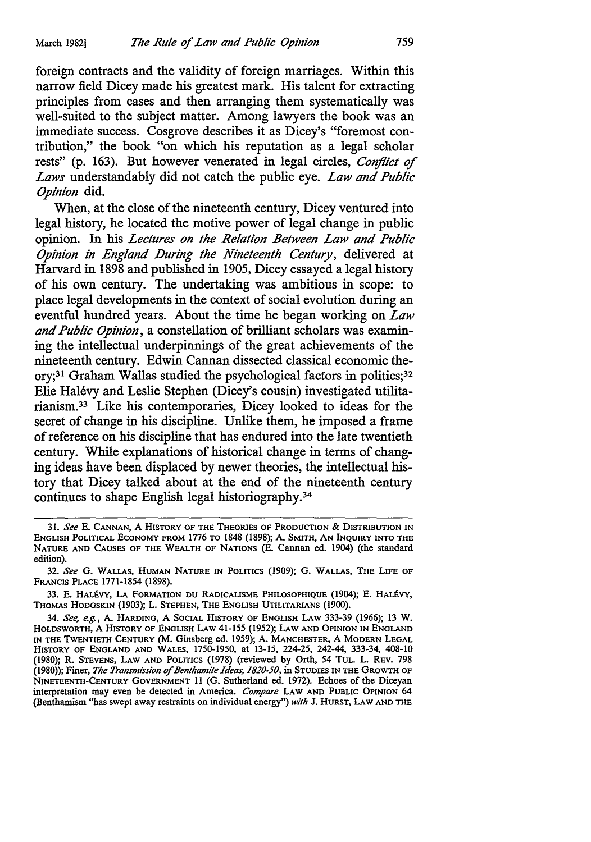foreign contracts and the validity of foreign marriages. Within this narrow field Dicey made his greatest mark. His talent for extracting principles from cases and then arranging them systematically was well-suited to the subject matter. Among lawyers the book was an immediate success. Cosgrove describes it as Dicey's "foremost contribution," the book "on which his reputation as a legal scholar rests" (p. 163). But however venerated in legal circles, *Conflict of Laws* understandably did not catch the public eye. *Law and Public Opinion* did.

When, at the close of the nineteenth century, Dicey ventured into legal history, he located the motive power of legal change in public opinion. In his *Lectures on the Relation Between Law and Public Opinion in England During the Nineteenth Century,* delivered at Harvard in 1898 and published in 1905, Dicey essayed a legal history of his own century. The undertaking was ambitious in scope: to place legal developments in the context of social evolution during an eventful hundred years. About the time he began working on *Law and Public Opinion,* a constellation of brilliant scholars was examining the intellectual underpinnings of the great achievements of the nineteenth century. Edwin Cannan dissected classical economic theory;<sup>31</sup> Graham Wallas studied the psychological factors in politics;<sup>32</sup> Elie Halevy and Leslie Stephen (Dicey's cousin) investigated utilitarianism. 33 Like his contemporaries, Dicey looked to ideas for the secret of change in his discipline. Unlike them, he imposed a frame of reference on his discipline that has endured into the late twentieth century. While explanations of historical change in terms of changing ideas have been displaced by newer theories, the intellectual history that Dicey talked about at the end of the nineteenth century continues to shape English legal historiography.34

<sup>31.</sup> *See* E. CANNAN, A HISTORY OF THE THEORIES OF PRODUCTION & DISTRIBUTION IN ENGLISH POLITICAL ECONOMY FROM 1776 TO 1848 (1898); A. SMITH, AN INQUIRY INTO THE NATURE AND CAUSES OF THE WEALTH OF NATIONS (E. Cannan ed. 1904) (the standard edition).

<sup>32.</sup> *See* G. WALLAS, HUMAN NATURE IN POLITICS (1909); G. WALLAS, THE LIFE OF FRANCIS PLACE 1771-1854 (1898).

<sup>33.</sup> E. HALEVY, LA FORMATION DU RADICALISME PHILOSOPHIQUE (1904); E. HALEVY, THOMAS HODGSKIN (1903); L. STEPHEN, THE ENGLISH UTILITARIANS (1900).

<sup>34.</sup> *See, e.g.,* A. HARDING, A SOCIAL HISTORY OF ENGLISH LAW 333-39 (1966); 13 W. HOLDSWORTH, A HISTORY OF ENGLISH LAW 41-155 (1952); LAW AND OPINION IN ENGLAND IN THE TWENTIETH CENTURY (M. Ginsberg ed. 1959); A. MANCHESTER, A MODERN LEGAL HISTORY OF ENGLAND AND WALES, 1750-1950, at 13-15, 224-25, 242-44, 333-34, 408-10 (1980); R. STEVENS, LAW AND POLITICS (1978) (reviewed by Orth, 54 TUL. L. REV. 798 (1980)); Finer, *The Transmission of Benthamite Ideas, 1820-50,* in STUDIES IN THE GROWTH OF NINETEENTH-CENTURY GOVERNMENT 11 (G. Sutherland ed. 1972). Echoes of the Diceyan interpretation may even be detected in America. *Compare* LAW AND PUBLIC OPINION 64 (Benthamism "has swept away restraints on individual energy") *with* J. HURST, LAW AND THE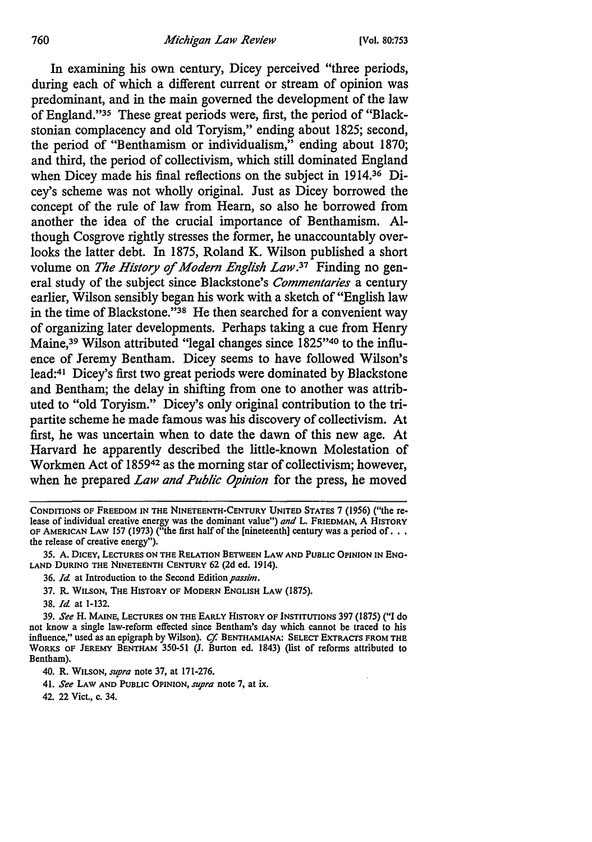In examining his own century, Dicey perceived "three periods, during each of which a different current or stream of opinion was predominant, and in the main governed the development of the law of England."35 These great periods were, first, the period of "Blackstonian complacency and old Toryism," ending about 1825; second, the period of "Benthamism or individualism," ending about 1870; and third, the period of collectivism, which still dominated England when Dicey made his final reflections on the subject in 1914.36 Dicey's scheme was not wholly original. Just as Dicey borrowed the concept of the rule of law from Hearn, so also he borrowed from another the idea of the crucial importance of Benthamism. Although Cosgrove rightly stresses the former, he unaccountably overlooks the latter debt. In 1875, Roland K. Wilson published a short volume on *The History of Modern English Law.37* Finding no general study of the subject since Blackstone's *Commentaries* a century earlier, Wilson sensibly began his work with a sketch of "English law in the time of Blackstone."38 He then searched for a convenient way of organizing later developments. Perhaps taking a cue from Henry Maine,39 Wilson attributed "legal changes since 1825"40 to the influence of Jeremy Bentham. Dicey seems to have followed Wilson's lead:41 Dicey's first two great periods were dominated by Blackstone and Bentham; the delay in shifting from one to another was attributed to "old Toryism." Dicey's only original contribution to the tripartite scheme he made famous was his discovery of collectivism. At first, he was uncertain when to date the dawn of this new age. At Harvard he apparently described the little-known Molestation of Workmen Act of 185942 as the morning star of collectivism; however, when he prepared *Law and Public Opinion* for the press, he moved

- 35. A. DICEY, LECTURES ON THE RELATION BETWEEN LAW AND PUBLIC OPINION IN ENO• LAND DURING THE NINETEENTH CENTURY 62 (2d ed. 1914).
	- 36. *Id* at Introduction to the Second Edition *passim.*
	- 37. R. WILSON, THE HISTORY OF MODERN ENGLISH LAW (1875).

38. *Id* at 1-132.

39. *See* H. MAINE, LECTURES ON THE EARLY HISTORY OF INSTITUTIONS 397 (1875) ("I do not know a single law-reform effected since Bentham's day which cannot be traced to his influence,'' used as an epigraph by Wilson). *Cf.* BENTHAMIANA: SELECT EXTRACTS FROM THE WORKS OF JEREMY BENTHAM 350-51 (J. Burton ed. 1843) (list of reforms attributed to Bentham).

40. R. WILSON, *supra* note 37, at 171-276.

41. *See* LAW AND PUBLIC OPINION, *supra* note 7, at ix.

42. 22 Viet., c. 34.

CONDITIONS OF FREEDOM IN THE NINETEENTH-CENTURY UNITED STATES 7 (1956) ("the release of individual creative energy was the dominant value") *and* L. FRIEDMAN, A HISTORY **OF AMERICAN LAW 157 (1973)** ("the first half of the [nineteenth] century was a period of . . . the release of creative energy").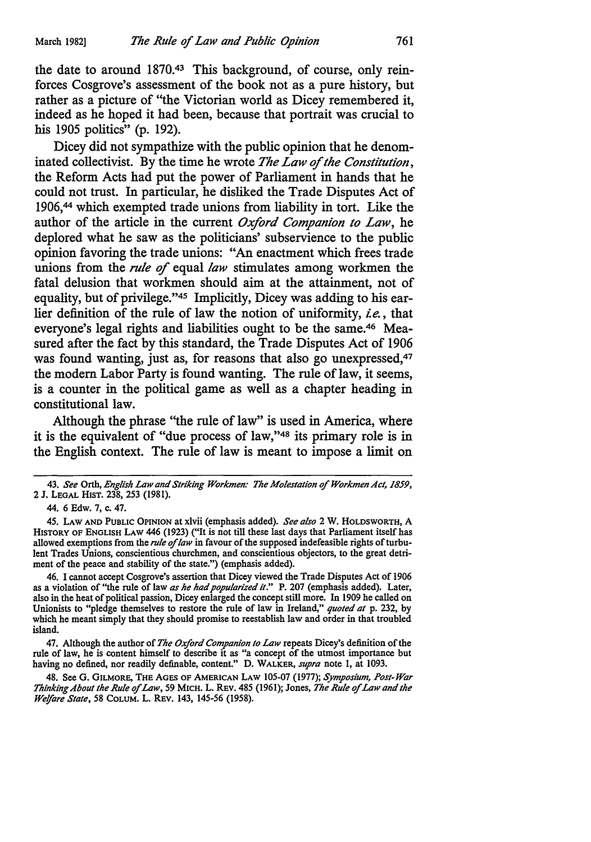the date to around 1870.43 This background, of course, only reinforces Cosgrove's assessment of the book not as a pure history, but rather as a picture of "the Victorian world as Dicey remembered it, indeed as he hoped it had been, because that portrait was crucial to his 1905 politics" (p. 192).

Dicey did not sympathize with the public opinion that he denominated collectivist. By the time he wrote *The Law* of *the Constitution,*  the Reform Acts had put the power of Parliament in hands that he could not trust. In particular, he disliked the Trade Disputes Act of 1906,44 which exempted trade unions from liability in tort. Like the author of the article in the current *Oxford Companion to Law,* he deplored what he saw as the politicians' subservience to the public opinion favoring the trade unions: "An enactment which frees trade unions from the *rule* of equal *law* stimulates among workmen the fatal delusion that workmen should aim at the attainment, not of equality, but of privilege."45 Implicitly, Dicey was adding to his earlier definition of the rule of law the notion of uniformity, *ie.,* that everyone's legal rights and liabilities ought to be the same.46 Measured after the fact by this standard, the Trade Disputes Act of 1906 was found wanting, just as, for reasons that also go unexpressed,<sup>47</sup> the modem Labor Party is found wanting. The rule of law, it seems, is a counter in the political game as well as a chapter heading in constitutional law.

Although the phrase "the rule of law" is used in America, where it is the equivalent of "due process of law,"48 its primary role is in the English context. The rule of law is meant to impose a limit on

45. LAW AND PUBLIC OPINION at xlvii (emphasis added). *See also* 2 **w.** HOLDSWORTH, A HISTORY OF ENGLISH LAW 446 (1923) ("It is not till these last days that Parliament itself has allowed exemptions from the *rule* of *law* in favour of the supposed indefeasible rights of turbulent Trades Unions, conscientious churchmen, and conscientious objectors, to the great detriment of the peace and stability of the state.") (emphasis added).

46. I cannot accept Cosgrove's assertion that Dicey viewed the Trade Disputes Act of 1906 as a violation of "the rule of law *as he had popularized it."* P. 207 (emphasis added). Later, also in the heat of political passion, Dicey enlarged the concept still more. In 1909 he called on Unionists to "pledge themselves to restore the rule of law in Ireland," *quoted at* p. 232, by which he meant simply that they should promise to reestablish law and order in that troubled island.

47. Although the author of *The Oxford Companion to Law* repeats Dicey's definition of the rule of law, he is content himself to describe it as "a concept of the utmost importance but having no defined, nor readily definable, content." D. WALKER, *supra* note 1, at 1093.

48. See G. GILMORE, THE AGES OF AMERICAN LAW 105-07 (1977); *Symposium, Post-War Thinking About the Rule* of *Law,* 59 MICH. L. REV. 485 (1961); Jones, *The Rule* of *Law and the Welfare State,* 58 CoLUM. L. REV. 143, 145-56 (1958).

<sup>43.</sup> *See* Orth, *English Law and Striking Workmen: The Molestation* of *Workmen Act, 1859,*  2 **J.** LEGAL HIST. 238, 253 (1981).

<sup>44. 6</sup> Edw. 7, c. 47.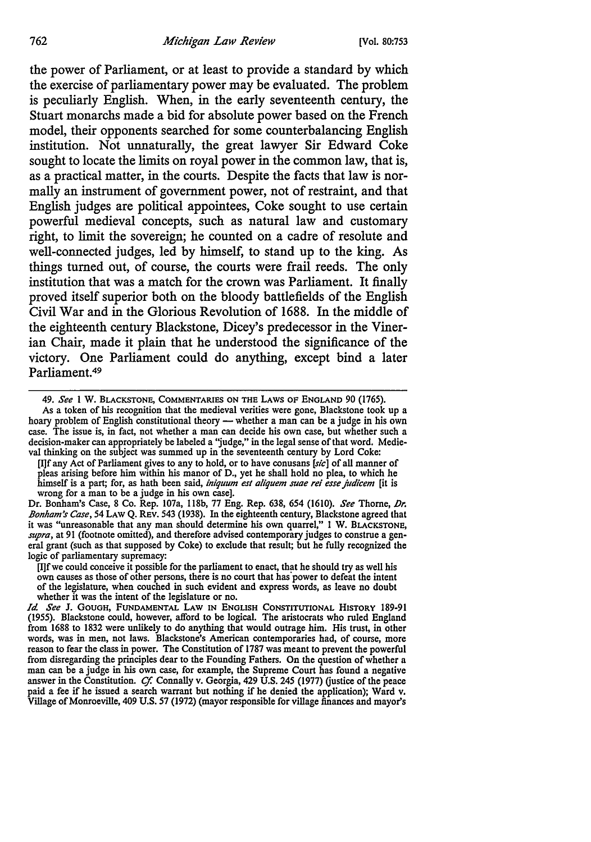the power of Parliament, or at least to provide a standard by which the exercise of parliamentary power may be evaluated. The problem is peculiarly English. When, in the early seventeenth century, the Stuart monarchs made a bid for absolute power based on the French model, their opponents searched for some counterbalancing English institution. Not unnaturally, the great lawyer Sir Edward Coke sought to locate the limits on royal power in the common law, that is, as a practical matter, in the courts. Despite the facts that law is normally an instrument of government power, not of restraint, and that English judges are political appointees, Coke sought to use certain powerful medieval concepts, such as natural law and customary right, to limit the sovereign; he counted on a cadre of resolute and well-connected judges, led by himself, to stand up to the king. As things turned out, of course, the courts were frail reeds. The only institution that was a match for the crown was Parliament. It finally proved itself superior both on the bloody battlefields of the English Civil War and in the Glorious Revolution of 1688. In the middle of the eighteenth century Blackstone, Dicey's predecessor in the Vinerian Chair, made it plain that he understood the significance of the victory. One Parliament could do anything, except bind a later Parliament.49

[I]f any Act of Parliament gives to any to hold, or to have conusans  $[s/c]$  of all manner of pleas arising before him within his manor of D., yet he shall hold no plea, to which he himself is a part; for, as hath been said, *iniquum est aliquem suae rei esse judicem* [it is wrong for a man to be a judge in his own case].

Dr. Bonham's Case, 8 Co. Rep. 107a, 118b, 77 Eng. Rep. 638, 654 (1610). *See* Thorne, *J)r. Bonham's Cose,* 54 LAW Q. REV. 543 (1938). In the eighteenth century, Blackstone agreed that it was "unreasonable that any man should determine his own quarrel," 1 W. BLACKSTONE, *supra,* at 91 (footnote omitted), and therefore advised contemporary judges to construe a general grant (such as that supposed by Coke) to exclude that result; but he fully recognized the logic of parliamentary supremacy:

[I]fwe could conceive it possible for the parliament to enact, that he should try as well his own causes as those of other persons, there is no court that has "power to defeat the intent of the legislature, when couched in such evident and express words, as leave no doubt whether it was the intent of the legislature or no.

*Id. See* J. GOUGH, FUNDAMENTAL LAW IN ENGLISH CONSTITUTIONAL HISTORY 189-91 (1955). Blackstone could, however, afford to be logical. The aristocrats who ruled England from 1688 to 1832 were unlikely to do anything that would outrage him. His trust, in other words, was in men, not laws. Blackstone's American contemporaries had, of course, more reason to fear the class in power. The Constitution of 1787 was meant to prevent the powerful from disregarding the principles dear to the Founding Fathers. On the question of whether a man can be a judge in his own case, for example, the Supreme Court has found a negative answer in the Constitution. *Cf.* Connally v. Georgia, 429 U.S. 245 (1977) (justice of the peace paid a fee if he issued a search warrant but nothing if he denied the application); Ward v. Village of Monroeville, 409 U.S. 57 (1972) (mayor responsible for village finances and mayor's

<sup>49.</sup> *See* l w. BLACKSTONE, COMMENTARIES ON THE LAWS OF ENGLAND 90 (1765).

As a token of his recognition that the medieval verities were gone, Blackstone took up a hoary problem of English constitutional theory - whether a man can be a judge in his own case. The issue is, in fact, not whether a man can decide his own case, but whether such a decision-maker can appropriately be labeled a 'judge," in the legal sense of that word. Medieval thinking on the subject was summed up in the seventeenth century by Lord Coke: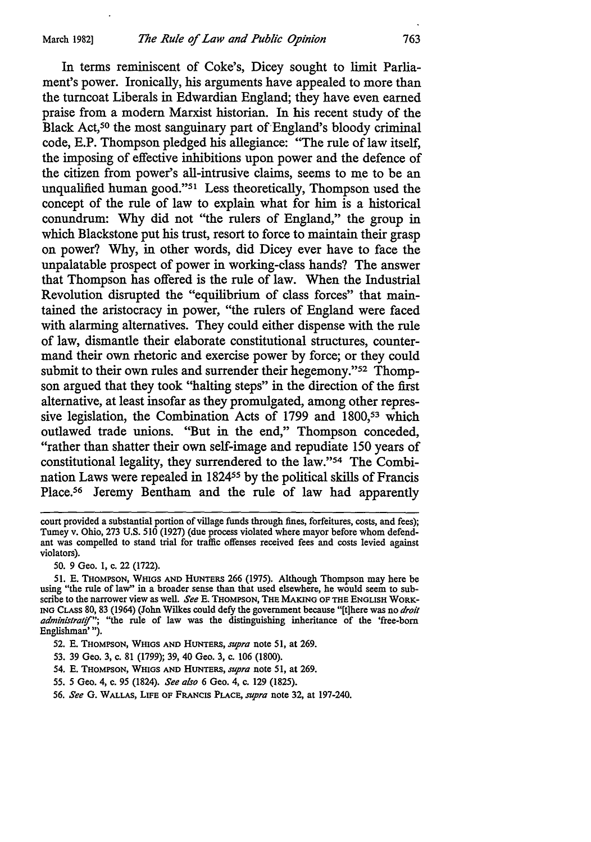In terms reminiscent of Coke's, Dicey sought to limit Parliament's power. Ironically, his arguments have appealed to more than the turncoat Liberals in Edwardian England; they have even earned praise from a modem Marxist historian. In his recent study of the Black Act,<sup>50</sup> the most sanguinary part of England's bloody criminal code, E.P. Thompson pledged his allegiance: "The rule of law itself, the imposing of effective inhibitions upon power and the defence of the citizen from power's all-intrusive claims, seems to me to be an unqualified human good."51 Less theoretically, Thompson used the concept of the rule of law to explain what for him is a historical conundrum: Why did not "the rulers of England," the group in which Blackstone put his trust, resort to force to maintain their grasp on power? Why, in other words, did Dicey ever have to face the unpalatable prospect of power in working-class hands? The answer that Thompson has offered is the rule of law. When the Industrial Revolution disrupted the "equilibrium of class forces" that maintained the aristocracy in power, "the rulers of England were faced with alarming alternatives. They could either dispense with the rule of law, dismantle their elaborate constitutional structures, countermand their own rhetoric and exercise power by force; or they could submit to their own rules and surrender their hegemony."<sup>52</sup> Thompson argued that they took "halting steps" in the direction of the first alternative, at least insofar as they promulgated, among other repressive legislation, the Combination Acts of 1799 and 1800,<sup>53</sup> which outlawed trade unions. "But in the end," Thompson conceded, "rather than shatter their own self-image and repudiate 150 years of constitutional legality, they surrendered to the law."54 The Combination Laws were repealed in 182455 by the political skills of Francis Place.<sup>56</sup> Jeremy Bentham and the rule of law had apparently

50. 9 Geo. 1, c. 22 (1722).

- 53. 39 Geo. 3, c. 81 (1799); 39, 40 Geo. 3, c. 106 (1800).
- 54. E. THOMPSON, WHIGS AND HUNTERS, *supra* note 51, at 269.
- *55. 5* Geo. 4, c. 95 (1824). *See also* 6 Geo. 4, c. 129 (1825).
- 56. *See* G. WALLAS, LIFE OF FRANCIS PLACE, *supra* note 32, at 197-240.

court provided a substantial portion of village funds through fines, forfeitures, costs, and fees); Tumey v. Ohio, 273 U.S. 510 (1927) (due process violated where mayor before whom defendant was compelled to stand trial for traffic offenses received fees and costs levied against violators).

<sup>51.</sup> E. THOMPSON, WHIGS AND HUNTERS 266 (1975). Although Thompson may here be using "the rule of law'' in a broader sense than that used elsewhere, he would seem to subscribe to the narrower view as well. *See* E. THOMPSON, THE MAKING OF THE ENGLISH WORK-ING CLASS 80, 83 (1964) (John Wilkes could defy the government because "[t]here was no *droit*  administratif"; "the rule of law was the distinguishing inheritance of the 'free-born Englishman' ").

<sup>52.</sup> E. THOMPSON, WHIGS AND HUNTERS, *supra* note 51, at 269.